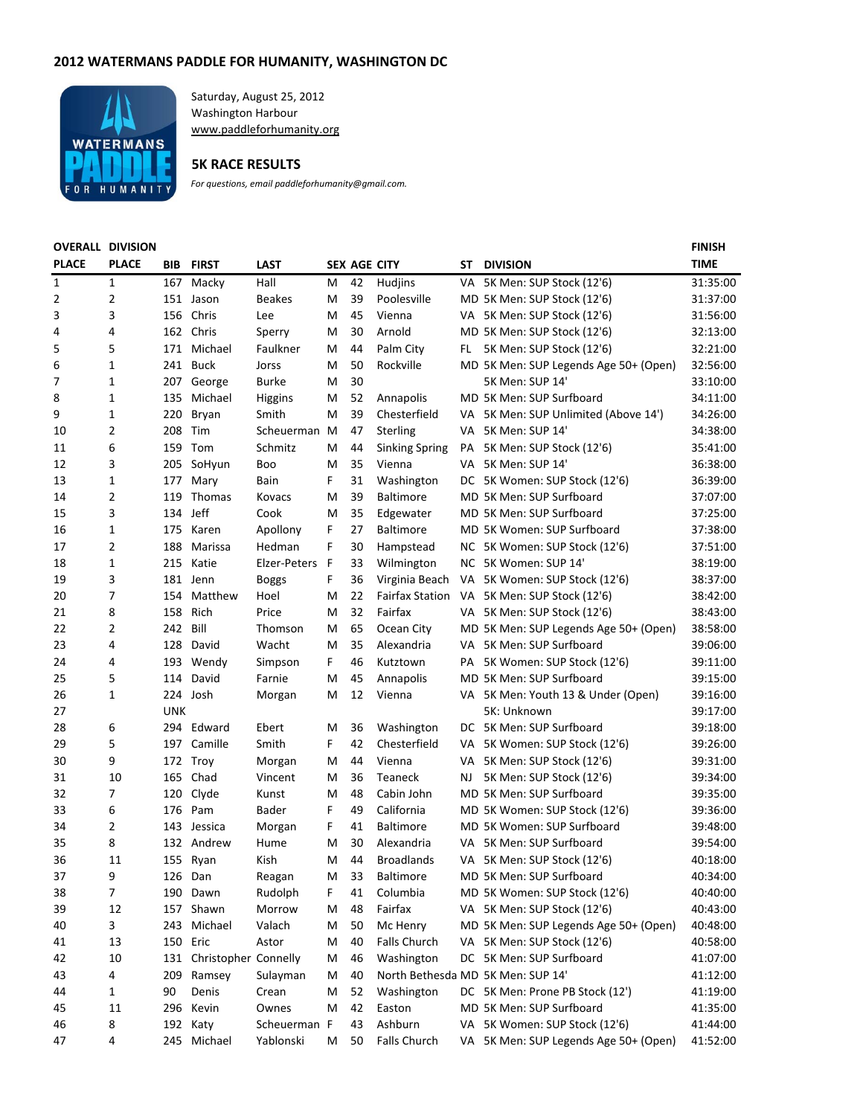## **2012 WATERMANS PADDLE FOR HUMANITY, WASHINGTON DC**



Saturday, August 25, 2012 Washington Harbour www.paddleforhumanity.org

## **5K RACE RESULTS**

*For questions, email paddleforhumanity@gmail.com.*

## **OVERALL DIVISION**

| <b>OVERALL DIVISION</b> |                |            |                          |                |   |                     |                        |     |                                       | <b>FINISH</b> |
|-------------------------|----------------|------------|--------------------------|----------------|---|---------------------|------------------------|-----|---------------------------------------|---------------|
| <b>PLACE</b>            | <b>PLACE</b>   | BIB.       | <b>FIRST</b>             | <b>LAST</b>    |   | <b>SEX AGE CITY</b> |                        | SΤ  | <b>DIVISION</b>                       | <b>TIME</b>   |
| 1                       | 1              | 167        | Macky                    | Hall           | м | 42                  | Hudjins                |     | VA 5K Men: SUP Stock (12'6)           | 31:35:00      |
| 2                       | $\overline{2}$ |            | 151 Jason                | <b>Beakes</b>  | M | 39                  | Poolesville            |     | MD 5K Men: SUP Stock (12'6)           | 31:37:00      |
| 3                       | 3              | 156        | Chris                    | Lee            | м | 45                  | Vienna                 |     | VA 5K Men: SUP Stock (12'6)           | 31:56:00      |
| 4                       | 4              |            | 162 Chris                | Sperry         | M | 30                  | Arnold                 |     | MD 5K Men: SUP Stock (12'6)           | 32:13:00      |
| 5                       | 5              |            | 171 Michael              | Faulkner       | M | 44                  | Palm City              | FL. | 5K Men: SUP Stock (12'6)              | 32:21:00      |
| 6                       | $\mathbf{1}$   |            | 241 Buck                 | Jorss          | M | 50                  | Rockville              |     | MD 5K Men: SUP Legends Age 50+ (Open) | 32:56:00      |
| 7                       | 1              |            | 207 George               | <b>Burke</b>   | M | 30                  |                        |     | 5K Men: SUP 14'                       | 33:10:00      |
| 8                       | 1              | 135        | Michael                  | <b>Higgins</b> | M | 52                  | Annapolis              |     | MD 5K Men: SUP Surfboard              | 34:11:00      |
| 9                       | 1              | 220        | Bryan                    | Smith          | м | 39                  | Chesterfield           |     | VA 5K Men: SUP Unlimited (Above 14')  | 34:26:00      |
| 10                      | $\overline{2}$ | 208        | Tim                      | Scheuerman     | M | 47                  | Sterling               |     | VA 5K Men: SUP 14'                    | 34:38:00      |
| 11                      | 6              | 159        | Tom                      | Schmitz        | M | 44                  | <b>Sinking Spring</b>  | PA  | 5K Men: SUP Stock (12'6)              | 35:41:00      |
| 12                      | 3              | 205        | SoHyun                   | Boo            | M | 35                  | Vienna                 |     | VA 5K Men: SUP 14'                    | 36:38:00      |
| 13                      | $\mathbf{1}$   | 177        | Mary                     | Bain           | F | 31                  | Washington             |     | DC 5K Women: SUP Stock (12'6)         | 36:39:00      |
| 14                      | 2              | 119        | <b>Thomas</b>            | Kovacs         | M | 39                  | <b>Baltimore</b>       |     | MD 5K Men: SUP Surfboard              | 37:07:00      |
| 15                      | 3              | 134 Jeff   |                          | Cook           | M | 35                  | Edgewater              |     | MD 5K Men: SUP Surfboard              | 37:25:00      |
| 16                      | 1              | 175        | Karen                    | Apollony       | F | 27                  | <b>Baltimore</b>       |     | MD 5K Women: SUP Surfboard            | 37:38:00      |
| 17                      | $\overline{2}$ | 188        | Marissa                  | Hedman         | F | 30                  | Hampstead              |     | NC 5K Women: SUP Stock (12'6)         | 37:51:00      |
| 18                      | 1              | 215        | Katie                    | Elzer-Peters   | F | 33                  | Wilmington             |     | NC 5K Women: SUP 14'                  | 38:19:00      |
| 19                      | 3              |            | 181 Jenn                 | <b>Boggs</b>   | F | 36                  | Virginia Beach         |     | VA 5K Women: SUP Stock (12'6)         | 38:37:00      |
| 20                      | 7              | 154        | Matthew                  | Hoel           | M | 22                  | <b>Fairfax Station</b> |     | VA 5K Men: SUP Stock (12'6)           | 38:42:00      |
| 21                      | 8              | 158        | Rich                     | Price          | M | 32                  | Fairfax                |     | VA 5K Men: SUP Stock (12'6)           | 38:43:00      |
| 22                      | $\overline{2}$ | 242        | Bill                     | Thomson        | м | 65                  | Ocean City             |     | MD 5K Men: SUP Legends Age 50+ (Open) | 38:58:00      |
| 23                      | 4              | 128        | David                    | Wacht          | M | 35                  | Alexandria             |     | VA 5K Men: SUP Surfboard              | 39:06:00      |
| 24                      | 4              |            | 193 Wendy                | Simpson        | F | 46                  | Kutztown               |     | PA 5K Women: SUP Stock (12'6)         | 39:11:00      |
| 25                      | 5              | 114        | David                    | Farnie         | M | 45                  | Annapolis              |     | MD 5K Men: SUP Surfboard              | 39:15:00      |
| 26                      | $\mathbf{1}$   |            | 224 Josh                 | Morgan         | M | 12                  | Vienna                 |     | VA 5K Men: Youth 13 & Under (Open)    | 39:16:00      |
| 27                      |                | <b>UNK</b> |                          |                |   |                     |                        |     | 5K: Unknown                           | 39:17:00      |
| 28                      | 6              | 294        | Edward                   | Ebert          | м | 36                  | Washington             |     | DC 5K Men: SUP Surfboard              | 39:18:00      |
| 29                      | 5              |            | 197 Camille              | Smith          | F | 42                  | Chesterfield           |     | VA 5K Women: SUP Stock (12'6)         | 39:26:00      |
| 30                      | 9              |            | 172 Troy                 | Morgan         | M | 44                  | Vienna                 | VA. | 5K Men: SUP Stock (12'6)              | 39:31:00      |
| 31                      | 10             | 165        | Chad                     | Vincent        | м | 36                  | Teaneck                | NJ  | 5K Men: SUP Stock (12'6)              | 39:34:00      |
| 32                      | 7              | 120        | Clyde                    | Kunst          | M | 48                  | Cabin John             |     | MD 5K Men: SUP Surfboard              | 39:35:00      |
| 33                      | 6              |            | 176 Pam                  | Bader          | F | 49                  | California             |     | MD 5K Women: SUP Stock (12'6)         | 39:36:00      |
| 34                      | 2              |            | 143 Jessica              | Morgan         | F | 41                  | <b>Baltimore</b>       |     | MD 5K Women: SUP Surfboard            | 39:48:00      |
| 35                      | 8              |            | 132 Andrew               | Hume           | м | 30                  | Alexandria             |     | VA 5K Men: SUP Surfboard              | 39:54:00      |
| 36                      | 11             |            | 155 Ryan                 | Kish           | м | 44                  | <b>Broadlands</b>      |     | VA 5K Men: SUP Stock (12'6)           | 40:18:00      |
| 37                      | 9              | 126        | Dan                      | Reagan         | M | 33                  | <b>Baltimore</b>       |     | MD 5K Men: SUP Surfboard              | 40:34:00      |
| 38                      | 7              | 190        | Dawn                     | Rudolph        | F | 41                  | Columbia               |     | MD 5K Women: SUP Stock (12'6)         | 40:40:00      |
| 39                      | 12             |            | 157 Shawn                | Morrow         | M | 48                  | Fairfax                |     | VA 5K Men: SUP Stock (12'6)           | 40:43:00      |
| 40                      | 3              | 243        | Michael                  | Valach         | M | 50                  | Mc Henry               |     | MD 5K Men: SUP Legends Age 50+ (Open) | 40:48:00      |
| 41                      | 13             | 150        | Eric                     | Astor          | M | 40                  | Falls Church           |     | VA 5K Men: SUP Stock (12'6)           | 40:58:00      |
| 42                      | 10             |            | 131 Christopher Connelly |                | M | 46                  | Washington             |     | DC 5K Men: SUP Surfboard              | 41:07:00      |
| 43                      | 4              | 209        | Ramsey                   | Sulayman       | M | 40                  |                        |     | North Bethesda MD 5K Men: SUP 14'     | 41:12:00      |
| 44                      | 1              | 90         | Denis                    | Crean          | M | 52                  | Washington             |     | DC 5K Men: Prone PB Stock (12')       | 41:19:00      |
| 45                      | 11             | 296        | Kevin                    | Ownes          | м | 42                  | Easton                 |     | MD 5K Men: SUP Surfboard              | 41:35:00      |
| 46                      | 8              |            | 192 Katy                 | Scheuerman F   |   | 43                  | Ashburn                |     | VA 5K Women: SUP Stock (12'6)         | 41:44:00      |
| 47                      | 4              |            | 245 Michael              | Yablonski      | М | 50                  | <b>Falls Church</b>    |     | VA 5K Men: SUP Legends Age 50+ (Open) | 41:52:00      |